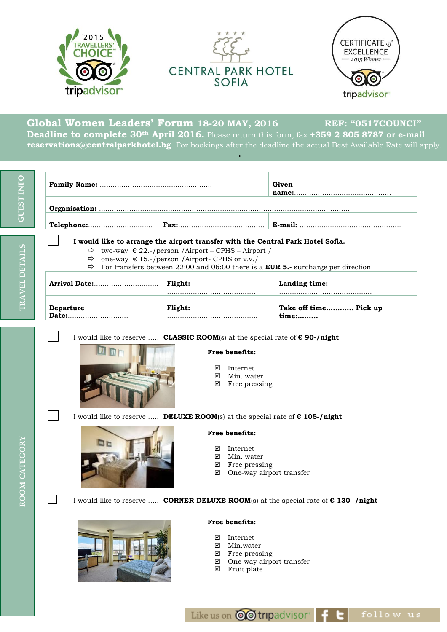

**Global Women Leaders' Forum 18-20 MAY, 2016 REF: "0517COUNCI" Deadline to complete 30th April 2016.** Please return this form, fax **+359 2 805 8787 or e-mail [reservations@centralparkhotel.bg](mailto:reservations@centralparkhotel.bg)**. For bookings after the deadline the actual Best Available Rate will apply.

**.**

| <b>GUEST INFO</b> |                                                                                                        |                | Given                 |  |  |
|-------------------|--------------------------------------------------------------------------------------------------------|----------------|-----------------------|--|--|
|                   |                                                                                                        |                |                       |  |  |
|                   |                                                                                                        |                |                       |  |  |
|                   | I would like to arrange the airport transfer with the Central Park Hotel Sofia.                        |                |                       |  |  |
|                   | $\Rightarrow$ two-way $\in$ 22.-/person /Airport – CPHS – Airport /                                    |                |                       |  |  |
|                   | one-way $\epsilon$ 15.-/person /Airport- CPHS or v.v./<br>$\Rightarrow$                                |                |                       |  |  |
| <b>DETAILS</b>    | $\Rightarrow$ For transfers between 22:00 and 06:00 there is a <b>EUR 5.</b> - surcharge per direction |                |                       |  |  |
| <b>RAVEL</b>      | Arrival Date:                                                                                          | Flight:        | Landing time:         |  |  |
|                   | <b>Departure</b>                                                                                       | <b>Flight:</b> | Take off time Pick up |  |  |

- two-way € 22.-/person /Airport CPHS Airport /
- $\Rightarrow$  one-way  $\in$  15.-/person /Airport- CPHS or v.v./
- $\Rightarrow$  For transfers between 22:00 and 06:00 there is a **EUR 5.** surcharge per direction

| Arrival Date:    | <b>Flight:</b> | Landing time:         |
|------------------|----------------|-----------------------|
| <b>Departure</b> | <b>Flight:</b> | Take off time Pick up |
| Date:            |                | time:                 |

I would like to reserve ….. **CLASSIC ROOM**(s) at the special rate of **€ 90-/night**



**Dr** 

**Free benefits:**

- ⊠ Internet<br>⊠ Min wat
- Min. water
- $\boxtimes$  Free pressing

I would like to reserve ….. **DELUXE ROOM**(s) at the special rate of **€ 105-/night**

#### **Free benefits:**

- Internet
- ⊠ Min. water
- $\boxtimes$  Free pressing
- $\boxtimes$  One-way airport transfer

I would like to reserve ….. **CORNER DELUXE ROOM**(s) at the special rate of **€ 130 -/night**



#### **Free benefits:**

- Internet
- Min.water
- $\boxtimes$  Free pressing
- One-way airport transfer
- Fruit plate